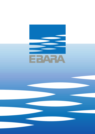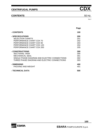## **CONTENTS** 50 Hz

|                                               | Page |
|-----------------------------------------------|------|
| - CONTENTS                                    | 100  |
| - SPECIFICATIONS                              | 200  |
| <b>SELECTION CHARTS</b>                       | 201  |
| PERFORMANCE CHART CDX 70                      | 202  |
| PERFORMANCE CHART CDX 90                      | 203  |
| PERFORMANCE CHART CDX 120                     | 204  |
| PERFORMANCE CHART CDX 200                     | 205  |
| <b>- CONSTRUCTIONS</b>                        | 300  |
| <b>SECTIONAL VIEW</b>                         | 300  |
| <b>MECHANICAL SEAL</b>                        | 301  |
| SINGLE PHASE DIAGRAM AND ELECTRIC CONNECTIONS | 302  |
| THREE PHASE DIAGRAM AND ELECTRIC CONNECTIONS  | 303  |
| - DIMENSINS                                   | 400  |
| <b>PACKING AND WEIGHT</b>                     | 401  |
| - TECHNICAL DATA                              | 500  |



**100**

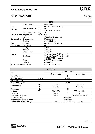## **SPECIFICATIONS**

 $rac{50 \text{ Hz}}{8 \text{ eV F}}$ 

| <b>PUMP</b>                 |                 |               |                               |  |  |  |  |  |
|-----------------------------|-----------------|---------------|-------------------------------|--|--|--|--|--|
|                             | Type of liquid  |               | Clean water                   |  |  |  |  |  |
| Liquid                      |                 |               | 60 (CDX 70/05-70/07-90/10)    |  |  |  |  |  |
| Handled                     | Max temperature | $[^{\circ}C]$ | 90                            |  |  |  |  |  |
|                             |                 |               | 110 (CDXH and CDXHS)          |  |  |  |  |  |
|                             | Min temperature | [°C]          | $-10$                         |  |  |  |  |  |
| Maximum working pressure    |                 | [MPa]         | 0.8                           |  |  |  |  |  |
|                             | Impeller        |               | Closed centrifugal type       |  |  |  |  |  |
| Construction                | Shaft seal type |               | Mechanical seal               |  |  |  |  |  |
|                             | <b>Bearing</b>  |               | Sealed ball bearing           |  |  |  |  |  |
| Pipe                        | Suction         |               | G 11/4 (G 11/2 CDX200)        |  |  |  |  |  |
| Connection                  | Discharge       |               | G <sub>1</sub>                |  |  |  |  |  |
|                             | Casing          |               | <b>AISI 304</b>               |  |  |  |  |  |
|                             | Impeller        |               | <b>AISI 304</b>               |  |  |  |  |  |
|                             | Casing cover    |               | <b>AISI 304</b>               |  |  |  |  |  |
| Material                    |                 |               | Ceramic/Carbon/NBR (for CDX)  |  |  |  |  |  |
|                             | Shaft seal      |               | Ceramic/Carbon/FPM (for CDXH) |  |  |  |  |  |
|                             |                 |               | SiC/SiC/FPM (for CDXHS)       |  |  |  |  |  |
|                             | Shaft           |               | AISI 303 (Wet extension)      |  |  |  |  |  |
|                             | <b>Bracket</b>  |               | Aluminium                     |  |  |  |  |  |
| Applicable standard of test |                 |               | ISO 9906 - Annex A            |  |  |  |  |  |

| <b>MOTOR</b>                                                         |                |                 |                      |  |  |  |  |
|----------------------------------------------------------------------|----------------|-----------------|----------------------|--|--|--|--|
| <b>Type</b>                                                          |                | Electric - TEFC |                      |  |  |  |  |
|                                                                      |                | Single Phase    | <b>Three Phase</b>   |  |  |  |  |
| No. of Poles                                                         |                | 2               |                      |  |  |  |  |
| Rotation speed                                                       | [min $^{-1}$ ] | $\approx 2800$  |                      |  |  |  |  |
| <b>Insulation Class</b>                                              |                |                 |                      |  |  |  |  |
| Protection degree                                                    |                | IP 55           |                      |  |  |  |  |
| Power rating                                                         | [kW]           | $0.37 \div 1.5$ | $0.37 \div 1.8$      |  |  |  |  |
|                                                                      | [HP]           | $0.5 \div 2$    | $0.5 \div 2.5$       |  |  |  |  |
| Frequency                                                            | [Hz]           | 50              |                      |  |  |  |  |
| Voltage                                                              | [V]            | 230 ±10%        | 230/400 ±10%         |  |  |  |  |
| Capacitor                                                            |                | <b>Built in</b> |                      |  |  |  |  |
| Over load protection                                                 |                | <b>Built in</b> | Provided by the user |  |  |  |  |
| Casing material                                                      |                | Aluminium       |                      |  |  |  |  |
| Base material/motor support                                          |                | Aluminium       |                      |  |  |  |  |
| Dimensions of cable entry<br>PG11 - PG13.5 (see dimensions page 400) |                |                 |                      |  |  |  |  |



**200**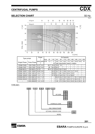#### **SELECTION CHART**



| Type pumps        |             | Power                 |                | Q=Capacity |                |      |      |      |      |      |                                   |                          |                          |      |
|-------------------|-------------|-----------------------|----------------|------------|----------------|------|------|------|------|------|-----------------------------------|--------------------------|--------------------------|------|
|                   |             |                       |                | l/min      | 20             | 50   | 80   | 90   | 110  | 130  | 160                               | 180                      | 210                      | 250  |
| Single Phase      | Three Phase | $[kW]$  [HP] $ m^3/h$ |                |            | 1.2            | 3    | 4.8  | 5.4  | 6.6  | 7.8  | 9.6                               | 10.8                     | 12.6                     | 15   |
|                   |             |                       |                |            |                |      |      |      |      |      | H=Total manometric head in meters |                          |                          |      |
| <b>CDXM 70/05</b> | CDX 70/05   | 0.37                  | 0.5            |            | 20.7           | 18.4 | 15.9 | 15   |      |      |                                   |                          |                          |      |
| <b>CDXM 70/07</b> | CDX 70/07   | 0.55                  | 0.8            |            | 28             | 24.5 | 20.5 |      |      |      |                                   |                          | -                        |      |
| CDXM 90/10        | CDX 90/10   | 0.75                  |                |            | 30.3           | 27.2 | 23.6 | 22.3 | 19.5 | -    |                                   |                          | $\overline{\phantom{0}}$ |      |
| CDXM 120/07       | CDX 120/07  | 0.55                  | 0.8            |            | -              | 20.5 | 18.7 | 18.1 | 16.8 | 15.5 | 13.7                              | 12.5                     |                          |      |
| CDXM 120/12       | CDX 120/12  | 0.9                   | 1.2            |            | $\blacksquare$ | 29.5 | 27.1 | 26.1 | 24.3 | 22.4 | 19.5                              |                          | $\overline{\phantom{0}}$ |      |
| CDXM 120/20       | CDX 120/20  | 1.5                   | $\overline{2}$ |            | -              | 37.5 | 35.3 | 34.6 | 33.1 | 31.4 | 28.6                              | $\overline{\phantom{a}}$ | $\overline{\phantom{a}}$ |      |
| CDXM 200/12       | CDX 200/12  | 0.9                   | 1.2            |            |                |      | 20.6 | 20.2 | 19.5 | 18.5 | 17.1                              | 16.1                     | 14.6                     | 12.5 |
| CDXM 200/20       | CDX 200/20  | 1.5                   | $\overline{2}$ |            |                |      | 31   | 30.6 | 29.7 | 28.9 | 27.5                              | 26.6                     | 25.1                     | 23   |
|                   | CDX 200/25  | 1.8                   | 2.5            |            |                |      | 38   | 37.5 | 36.4 | 35.3 | 33.6                              | 32.4                     | 30.5                     | 28   |

TYPE KEY:



<u>201</u> **201** 

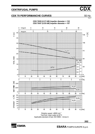#### **CDX 70 PERFORMANCHE CURVES** 50 Hz



**CDX 70/05 (0.37 kW) Impeller diameter = 132** 

Rotation speed: ≈2800 min-1 Test fluid: clean water at 20°C Applicable standard of test: ISO 9906 – Annex A

**202** 



Rev F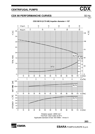#### **CDX 90 PERFORMANCHE CURVES** 50 Hz



#### **CDX 90/10 (0.75 kW) Impeller diameter = 157**

Rotation speed: ≈2800 min-1 Test fluid: clean water at 20°C Applicable standard of test: ISO 9906 – Annex A

**203** 



 $\overline{\mathsf{Rev}}$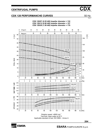#### **CDX 120 PERFORMANCHE CURVES** 50 Hz



Rotation speed: ≈2800 min-1 Test fluid: clean water at 20°C Applicable standard of test: ISO 9906 – Annex A

**204** 



**EBARA EBARA** PUMPS EUROPE S.p.A.

 $R_{\text{ev}}$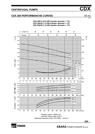#### **CDX 200 PERFORMANCHE CURVES** 50 Hz

30 40 50  $\mathbf 0$ U.S.g.p.m. 10 20 60 70 40 50  $\Omega$ Imp.g.p.m. 10 20 30 60 50 المستقل Έ  $\pm$  $\pm$ 150 45 40 125 35  $100$ 30 200/25 25 75 200/20 OTAL HEAD 20  $\frac{1}{2}$ RE. NPSH  $200/12$  $-50$ 15  $[m]$   $[ft]$  $2.5$ - 8  $10$  $2.0$ 200/25  $-6$  $1.5$  $-25$ 200/20  $\overline{4}$  $1.0<sub>1</sub>$ 5 200/12 ╂  $\overline{2}$  $0.5$  $\Omega$  $\cdot$  0  $\ddot{\mathbf{0}}$ 20  $40$  $60$ 80 100  $120$  $140$ 160 180 200 220 240 260  $Q$  [I/min] ľ T<br>7  $\dot{0}$  $\dot{8}$  $10$  $12$  $13$ 17 Q  $[m^3/h]$  $\dot{2}$ ż  $\overline{5}$  $\dot{6}$ ġ  $\dot{11}$  $14$  $15$  $16$  $\overline{4}$  $2.5$  $\begin{bmatrix} \mathsf{k}\mathsf{W} \end{bmatrix}$  $\mathbb T$ T 200/25  $2.0$ ELLI E 1.5 SHAFT POWER  $200/20$  $1.0$  $+$  + + + +  $200/12$  $0.5$ m t ┯ ┯  $\mathbf{I}$  $\mathbf{0}$  $\dot{0}$ 220 260 20  $40$ 60 80 100 120 140 160 180 200 240 280 Q [I/min] 60  $[2]$  $200/12 +$ 200/20  $\blacksquare$ 50  $200/25$ **EFFICIENCY** 40  $30<sup>1</sup>$  $\dot{0}$ 20  $40$  $60$  $80$ 100  $120$  $140$ 160 180 200 220 240 260  $280$  Q  $[1/min]$ 

**CDX 200/12 (0.9 kW) Impeller diameter = 132 CDX 200/20 (1.5 kW) Impeller diameter = 157 CDX 200/25 (1.8 kW) Impeller diameter = 176** 

Rotation speed: ≈2800 min-1 Test fluid: clean water at 20°C Applicable standard of test: ISO 9906 – Annex A

**205** 



Rev l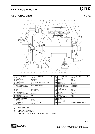#### **SECTIONAL VIEW**



| $N^{\circ}$ | <b>PART NAME</b>                     | <b>MATERIAL</b>                        | Q.TY | $N^{\circ}$ | <b>PART NAME</b>       | <b>MATERIAL</b>            | Q.TY |
|-------------|--------------------------------------|----------------------------------------|------|-------------|------------------------|----------------------------|------|
|             | Casing                               | <b>AISI 304</b>                        |      | 25          | Drain plug             | AISI 303                   |      |
|             | Motor bracket                        | Aluminium                              |      | 26          | $ O\text{-ring}$ [3]   | <b>NBR</b>                 |      |
|             | Casing cover                         | AISI 304                               |      | 32          | Key                    | AISI 304                   |      |
| 6           | Shaft with rotor                     | AISI 303 (Part in contact with liquid) |      | 34          | Impeller nut           | <b>AISI 304</b>            |      |
|             | Impeller                             | <b>AISI 304</b>                        |      | 42          | Motor support          | Aluminium                  |      |
|             | Mechanical seal<br>$\lceil 3 \rceil$ | Carbon/Ceramic/NBR                     |      | 52          | Terminal box [1]       | Polypropilene              |      |
|             | Motor frame with stator              |                                        |      | 53          | Terminal box cover [1] | Polypropilene              |      |
| 13          | Motor cover                          | Aluminium                              |      | 56          | Box gasket             | <b>NBR</b>                 |      |
| 14          | Fan                                  | Polypropilene                          |      | 73          | Casing ring<br>[4]     | <b>AISI 304</b>            |      |
| 15          | Fan cover                            | Fe P04 Zinked                          |      | 75          | Washer                 | <b>AISI 304</b>            |      |
| 16          | <b>Terminal board</b>                | ۰                                      |      | 76          | Washer                 | <b>AISI 304</b>            |      |
|             | Terminal box cover [2]               | Aluminium                              |      | 77          | $O$ -ring [3]          | <b>NBR</b>                 |      |
|             | 18 Splash ring                       | <b>NBR</b>                             |      |             | 78 O-ring [3]          | <b>NBR</b>                 |      |
|             | 19 Pump side ball bearing            |                                        |      | 90          | Cover gasket [1]       | <b>NBR</b>                 |      |
| 20          | Fan side ball bearing                |                                        |      |             | 92 Lip seal            |                            |      |
| 21          | Adjusting ring                       | Steel C70                              |      |             | 93   Lip seal          |                            |      |
| 22          | Tie rod                              | Fe 42 Zinked                           | 4    |             | 110 Protector<br>[1]   |                            |      |
| 23          | Capacitor [1]                        |                                        |      |             | 200 Screw              | Stainless steel A2 UNI7323 | 8    |
|             | $\overline{24}$ Priming plug         | AISI 303                               |      |             |                        |                            |      |

**300** 

[1] Only for single phase

[2] Only for three phase

[1] Only for single phase<br>[2] Only for three phase<br>[3] FPM for CDXH and CDXHS<br>[4] NBR for :CDX 70/05, 70/07, [4] NBR for :CDX 70/05, 70/07, 90/10

FPM for CDXH 70/05, 70/07, 90/10 and CDXHS 70/05, 70/07, 90/10

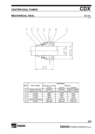#### **MECHANICAL SEAL**

#### REF PART NAME Standard version Scriptional (CDX) (CDXH) (CDXHS) A Rotary seal ring Ceramic Ceramic Silicon carbide B Stationary seal ring Carbon graphite Carbon graphite Silicon carbide<br>C O Ring NBR FPM FPM C O Ring NBR FPM FPM<br>D O Ring NBR FPM FPM D O Ring NBR E O Ring NBR FPM FPM F Self driving spring AISI 316 AISI 316 AISI 316 G Frame AISI 304 AISI 304 AISI 316 MATERIAL

<u>**301**</u>

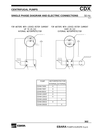#### **SINGLE PHASE DIAGRAM AND ELECTRIC CONNECTIONS** 50 Hz

Rev F

FOR MOTORS WITH LOCKED ROTOR CURRENT UP TO 25 [A] INTERNAL MOTORPROTECTOR



FOR MOTORS WITH LOCKED ROTOR CURRENT OVER 25 [A] EXTERNAL MOTORPROTECTOR



| <b>PUMP</b>       | <b>MOTORPROTECTOR</b> |                   |  |  |  |
|-------------------|-----------------------|-------------------|--|--|--|
|                   |                       | INTERNAL EXTERNAL |  |  |  |
| <b>CDXM 70/05</b> | X                     |                   |  |  |  |
| CDXM 70/07        | X                     |                   |  |  |  |
| CDXM 90/10        | X                     |                   |  |  |  |
| CDXM 120/07       | X                     |                   |  |  |  |
| CDXM 120/12       | X                     |                   |  |  |  |
| CDXM 120/20       |                       | x                 |  |  |  |
| CDXM 200/12       | X                     |                   |  |  |  |
| CDXM 200/20       |                       | x                 |  |  |  |

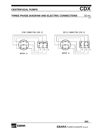## **THREE PHASE DIAGRAM AND ELECTRIC CONNECTIONS** 50 Hz

Rev F



DELTA CONNECTION (230 V)



EBARA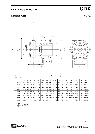#### **DIMENSIONS**

 $rac{50 \text{ Hz}}{R_{\text{ev F}}}$ 





| Pump type |     | Dimensions [mm] |     |       |     |                |                |                |    |    |     |                |       |                          |             |    |            |
|-----------|-----|-----------------|-----|-------|-----|----------------|----------------|----------------|----|----|-----|----------------|-------|--------------------------|-------------|----|------------|
| CDXM-CDX  |     |                 |     |       |     |                |                |                |    |    |     |                |       |                          |             |    |            |
|           | A   | B               | C   | H     | H1  | H <sub>2</sub> | H <sub>3</sub> | H <sub>4</sub> | М  | M1 | N   | N <sub>1</sub> | R     | т                        | ν           | W  | <b>DNA</b> |
| 70/05     | 208 | 321             | 182 | 229.5 | 106 | 123.5          | 208            | 216            | 50 | 38 | 120 | 160            | 108   | <b>PG11</b>              | <b>PG11</b> | 93 | G1 1/4     |
| 70/07     | 208 | 321             | 182 | 229.5 | 106 | 123.5          | 208            | 216            | 50 | 38 | 120 | 160            | 108   | <b>PG11</b>              | <b>PG11</b> | 93 | G1 1/4     |
| 90/10     | 208 | 321             | 182 | 229.5 | 106 | 123.5          | 208            | 216            | 50 | 38 | 120 | 160            | 108   | <b>PG11</b>              | <b>PG11</b> | 93 | G1 1/4     |
| 120/07    | 208 | 321             | 182 | 229.5 | 106 | 123.5          | 208            | 216            | 50 | 38 | 120 | 160            | 108   | <b>PG11</b>              | <b>PG11</b> | 93 | G1 1/4     |
| 120/12    | 208 | 321             | 182 | 229.5 | 106 | 123.5          | 208            | 216            | 50 | 38 | 120 | 160            | 108   | <b>PG11</b>              | <b>PG11</b> | 93 | G1 1/4     |
| 120/20    | 232 | 347             | 204 | 250   | 118 | 132            | 237            | 249            | 55 | 40 | 140 | 180            | 105.5 | PG13.5                   | <b>PG11</b> | 95 | G1 1/4     |
| 200/12    | 208 | 321             | 182 | 229.5 | 106 | 123.5          | 208            | 216            | 50 | 38 | 120 | 160            | 108   | PG13.5                   | <b>PG11</b> | 93 | G1 1/2     |
| 200/20    | 208 | 347             | 204 | 229.5 | 106 | 123.5          | 225            | 237            | 55 | 40 | 140 | 180            | 105.5 | PG13.5                   | <b>PG11</b> | 95 | G1 1/2     |
| 200/25    | 232 | 347             | 204 | 250   | 118 | 132            | 237            | ٠              | 55 | 40 | 140 | 180            | 105.5 | $\overline{\phantom{0}}$ | <b>PG11</b> | 95 | G1 1/2     |

[1] Three phase [2] Single phase



**400**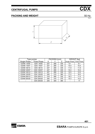## **PACKING AND WEIGHT**

 $rac{50 \text{ Hz}}{R\text{ eV F}}$ 



|                    | Type pumps         |     | PACKING [mm] |     | <b>WEIGHT</b> [kg] |                          |  |
|--------------------|--------------------|-----|--------------|-----|--------------------|--------------------------|--|
| Single Phase       | <b>Three Phase</b> | x   |              | Ζ   |                    | Single Phase Three Phase |  |
| CDXM 70/05         | CDX 70/05          | 227 | 280          | 335 | 9.1                | 9.1                      |  |
| CDXM 70/07         | CDX 70/07          | 227 | 280          | 335 | 10.4               | 10.4                     |  |
| CDXM 90/10         | CDX 90/10          | 227 | 280          | 335 | 11.9               | 11.9                     |  |
| <b>CDXM 120/07</b> | CDX 120/07         | 227 | 280          | 335 | 10.4               | 10.4                     |  |
| CDXM 120/12        | CDX 120/12         | 227 | 280          | 335 | 12.5               | 12.5                     |  |
| <b>CDXM 120/20</b> | CDX 120/20         | 245 | 315          | 360 | 17.2               | 16.2                     |  |
| CDXM 200/12        | CDX 200/12         | 218 | 280          | 332 | 16.3               | 11.4                     |  |
| CDXM 200/20        | CDX 200/20         | 250 | 315          | 375 | 15.3               | 14.2                     |  |
|                    | CDX 200/25         | 245 | 305          | 380 |                    | 17                       |  |

<u>**401**</u>